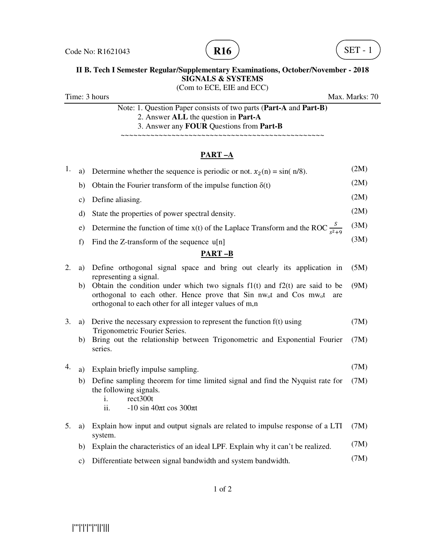



#### **II B. Tech I Semester Regular/Supplementary Examinations, October/November - 2018 SIGNALS & SYSTEMS**  (Com to ECE, EIE and ECC)

Time: 3 hours Max. Marks: 70

Note: 1. Question Paper consists of two parts (**Part-A** and **Part-B)** 2. Answer **ALL** the question in **Part-A** 3. Answer any **FOUR** Questions from **Part-B**

~~~~~~~~~~~~~~~~~~~~~~~~~~~~~~~~~~~~~~~~~~~~~~~~

# **PART –A**

| 1. | a)            | Determine whether the sequence is periodic or not. $x_2(n) = \sin(n/8)$ .                                                                                                                                                                                              | (2M) |
|----|---------------|------------------------------------------------------------------------------------------------------------------------------------------------------------------------------------------------------------------------------------------------------------------------|------|
|    | b)            | Obtain the Fourier transform of the impulse function $\delta(t)$                                                                                                                                                                                                       | (2M) |
|    | $\mathbf{c})$ | Define aliasing.                                                                                                                                                                                                                                                       | (2M) |
|    | d)            | State the properties of power spectral density.                                                                                                                                                                                                                        | (2M) |
|    | e)            | Determine the function of time x(t) of the Laplace Transform and the ROC $\frac{S}{s^2+9}$                                                                                                                                                                             | (3M) |
|    | f)            | Find the Z-transform of the sequence u[n]                                                                                                                                                                                                                              | (3M) |
|    |               | <b>PART-B</b>                                                                                                                                                                                                                                                          |      |
| 2. | a)            | Define orthogonal signal space and bring out clearly its application in                                                                                                                                                                                                | (5M) |
|    | b)            | representing a signal.<br>Obtain the condition under which two signals $f(x)$ and $f(x)$ are said to be<br>orthogonal to each other. Hence prove that Sin nw <sub>o</sub> t and Cos mw <sub>o</sub> t<br>are<br>orthogonal to each other for all integer values of m,n | (9M) |
| 3. | a)            | Derive the necessary expression to represent the function $f(t)$ using<br>Trigonometric Fourier Series.                                                                                                                                                                | (7M) |
|    | b)            | Bring out the relationship between Trigonometric and Exponential Fourier<br>series.                                                                                                                                                                                    | (7M) |
| 4. | a)            | Explain briefly impulse sampling.                                                                                                                                                                                                                                      | (7M) |
|    | b)            | Define sampling theorem for time limited signal and find the Nyquist rate for<br>the following signals.<br>rect300t<br>i.<br>$-10 \sin 40\pi t \cos 300\pi t$<br>ii.                                                                                                   | (7M) |
| 5. | a)            | Explain how input and output signals are related to impulse response of a LTI<br>system.                                                                                                                                                                               | (7M) |
|    | b)            | Explain the characteristics of an ideal LPF. Explain why it can't be realized.                                                                                                                                                                                         | (7M) |
|    | $\mathbf{c})$ | Differentiate between signal bandwidth and system bandwidth.                                                                                                                                                                                                           | (7M) |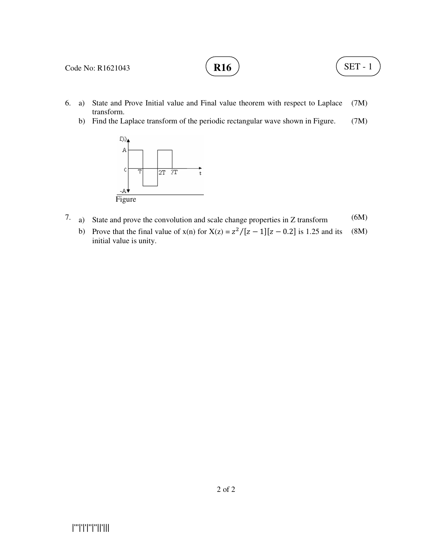# **R16**  $\left( \text{SET - 1} \right)$

- 6. a) State and Prove Initial value and Final value theorem with respect to Laplace transform. (7M)
	- b) Find the Laplace transform of the periodic rectangular wave shown in Figure. (7M)



- 7. a) State and prove the convolution and scale change properties in Z transform (6M)
- b) Prove that the final value of  $x(n)$  for  $X(z) = \frac{z^2}{[z-1][z-0.2]}$  is 1.25 and its initial value is unity. (8M)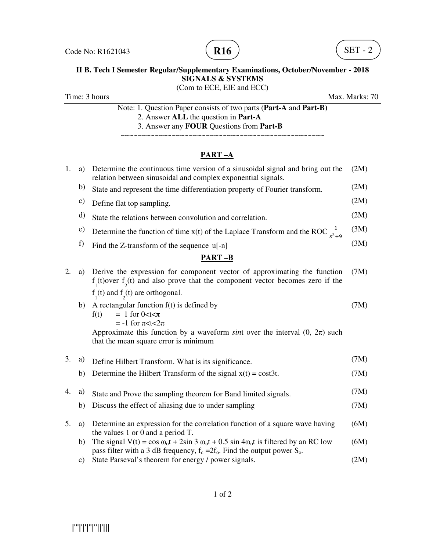



# **II B. Tech I Semester Regular/Supplementary Examinations, October/November - 2018 SIGNALS & SYSTEMS**

(Com to ECE, EIE and ECC)

Time: 3 hours Max. Marks: 70

Note: 1. Question Paper consists of two parts (**Part-A** and **Part-B)** 2. Answer **ALL** the question in **Part-A** 3. Answer any **FOUR** Questions from **Part-B**

~~~~~~~~~~~~~~~~~~~~~~~~~~~~~~~~~~~~~~~~~~~~~~~~

# **PART –A**

| 1. | a)            | Determine the continuous time version of a sinusoidal signal and bring out the<br>relation between sinusoidal and complex exponential signals.                                                 | (2M) |
|----|---------------|------------------------------------------------------------------------------------------------------------------------------------------------------------------------------------------------|------|
|    | b)            | State and represent the time differentiation property of Fourier transform.                                                                                                                    | (2M) |
|    | c)            | Define flat top sampling.                                                                                                                                                                      | (2M) |
|    | d)            | State the relations between convolution and correlation.                                                                                                                                       | (2M) |
|    | e)            | Determine the function of time x(t) of the Laplace Transform and the ROC $\frac{1}{s^2+9}$                                                                                                     | (3M) |
|    | f)            | Find the Z-transform of the sequence u[-n]                                                                                                                                                     | (3M) |
|    |               | <b>PART-B</b>                                                                                                                                                                                  |      |
| 2. | a)            | Derive the expression for component vector of approximating the function<br>$f_1(t)$ over $f_2(t)$ and also prove that the component vector becomes zero if the                                | (7M) |
|    |               | $f_1(t)$ and $f_2(t)$ are orthogonal.                                                                                                                                                          |      |
|    | b)            | A rectangular function $f(t)$ is defined by<br>$= 1$ for 0 $lt$ t $\lt$ $\pi$<br>f(t)<br>$= -1$ for $\pi < t < 2\pi$                                                                           | (7M) |
|    |               | Approximate this function by a waveform sint over the interval $(0, 2\pi)$ such<br>that the mean square error is minimum                                                                       |      |
| 3. | a)            | Define Hilbert Transform. What is its significance.                                                                                                                                            | (7M) |
|    | b)            | Determine the Hilbert Transform of the signal $x(t) = \text{cost3}t$ .                                                                                                                         | (7M) |
| 4. | a)            | State and Prove the sampling theorem for Band limited signals.                                                                                                                                 | (7M) |
|    | b)            | Discuss the effect of aliasing due to under sampling                                                                                                                                           | (7M) |
| 5. | a)            | Determine an expression for the correlation function of a square wave having<br>the values 1 or 0 and a period $T$ .                                                                           | (6M) |
|    | b)            | The signal V(t) = $\cos \omega_0 t$ + $2\sin 3 \omega_0 t$ + 0.5 sin $4\omega_0 t$ is filtered by an RC low<br>pass filter with a 3 dB frequency, $f_c = 2f_o$ . Find the output power $S_o$ . | (6M) |
|    | $\mathbf{c})$ | State Parseval's theorem for energy / power signals.                                                                                                                                           | (2M) |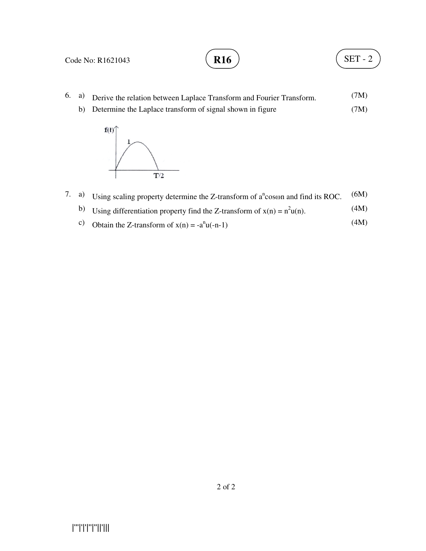# **R16**  $\left( \text{SET - 2} \right)$

- 6. a) Derive the relation between Laplace Transform and Fourier Transform. (7M)
	- b) Determine the Laplace transform of signal shown in figure (7M)



- 7. a) Using scaling property determine the Z-transform of  $a^n$ coson and find its ROC.  $(6M)$ 
	- b) Using differentiation property find the Z-transform of  $x(n) = n^2u(n)$ . (4M)
	- c) Obtain the Z-transform of  $x(n) = -a^n u(-n-1)$  (4M)

2 of 2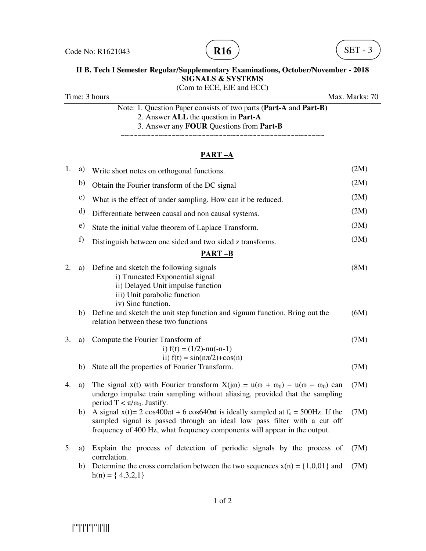



#### **II B. Tech I Semester Regular/Supplementary Examinations, October/November - 2018 SIGNALS & SYSTEMS**  (Com to ECE, EIE and ECC)

Time: 3 hours Max. Marks: 70

Note: 1. Question Paper consists of two parts (**Part-A** and **Part-B)** 2. Answer **ALL** the question in **Part-A** 3. Answer any **FOUR** Questions from **Part-B**

~~~~~~~~~~~~~~~~~~~~~

## **PART –A**

| 1. | a)            | Write short notes on orthogonal functions.                                                                                                                                                                                                                | (2M) |
|----|---------------|-----------------------------------------------------------------------------------------------------------------------------------------------------------------------------------------------------------------------------------------------------------|------|
|    | b)            | Obtain the Fourier transform of the DC signal                                                                                                                                                                                                             | (2M) |
|    | $\mathbf{c})$ | What is the effect of under sampling. How can it be reduced.                                                                                                                                                                                              | (2M) |
|    | d)            | Differentiate between causal and non causal systems.                                                                                                                                                                                                      | (2M) |
|    | e)            | State the initial value theorem of Laplace Transform.                                                                                                                                                                                                     | (3M) |
|    | f)            | Distinguish between one sided and two sided z transforms.                                                                                                                                                                                                 | (3M) |
|    |               | <b>PART-B</b>                                                                                                                                                                                                                                             |      |
| 2. | a)            | Define and sketch the following signals<br>i) Truncated Exponential signal<br>ii) Delayed Unit impulse function<br>iii) Unit parabolic function<br>iv) Sinc function.                                                                                     | (8M) |
|    | b)            | Define and sketch the unit step function and signum function. Bring out the<br>relation between these two functions                                                                                                                                       | (6M) |
| 3. | a)            | Compute the Fourier Transform of<br>i) $f(t) = (1/2)$ -nu(-n-1)<br>ii) $f(t) = \sin(n\pi/2) + \cos(n)$                                                                                                                                                    | (7M) |
|    | b)            | State all the properties of Fourier Transform.                                                                                                                                                                                                            | (7M) |
| 4. | a)            | The signal x(t) with Fourier transform $X(i\omega) = u(\omega + \omega_0) - u(\omega - \omega_0)$ can<br>undergo impulse train sampling without aliasing, provided that the sampling<br>period $T < \pi/\omega_0$ . Justify.                              | (7M) |
|    | b)            | A signal $x(t) = 2 \cos 400\pi t + 6 \cos 640\pi t$ is ideally sampled at $f_s = 500$ Hz. If the<br>sampled signal is passed through an ideal low pass filter with a cut off<br>frequency of 400 Hz, what frequency components will appear in the output. | (7M) |
| 5. | a)            | Explain the process of detection of periodic signals by the process of<br>correlation.                                                                                                                                                                    | (7M) |
|    |               | b) Determine the cross correlation between the two sequences $x(n) = \{1, 0, 0, 1\}$ and                                                                                                                                                                  | (7M) |

b) Determine the cross correlation between the two sequences  $x(n) = \{1,0,01\}$  and (7M)  $h(n) = \{4,3,2,1\}$ 

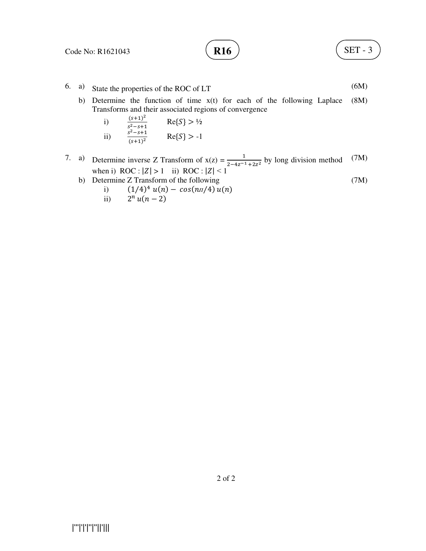(7M)

- 6. a) State the properties of the ROC of LT (6M)
	- b) Determine the function of time x(t) for each of the following Laplace Transforms and their associated regions of convergence (8M)
		- i)  $\frac{(s+1)^2}{2s+1}$  $s^2 - s + 1$  $Re{S} > \frac{1}{2}$ ii)  $2 - s + 1$  $(s+1)^2$  $Re{S} > -1$
- 7. a) Determine inverse Z Transform of  $x(z) = \frac{1}{z 4z^{-1} + 2z^2}$  by long division method when i)  $\text{ROC}: |Z| > 1$  ii)  $\text{ROC}: |Z| < 1$ (7M)
	- b) Determine Z Transform of the following

i) 
$$
(1/4)^4 u(n) - cos(n\pi/4) u(n)
$$

ii) 
$$
2^n u(n-2)
$$

|'''|'|'|''|''||'|||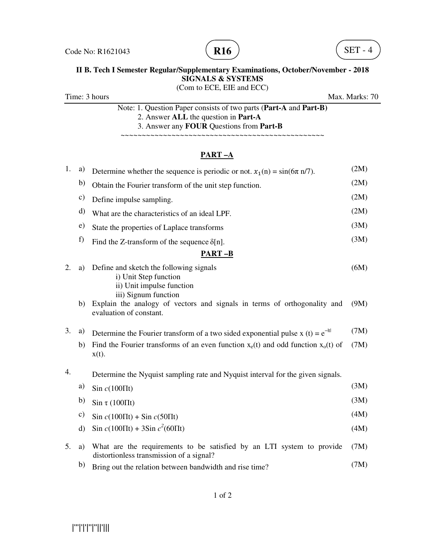



# **II B. Tech I Semester Regular/Supplementary Examinations, October/November - 2018 SIGNALS & SYSTEMS**

(Com to ECE, EIE and ECC)

Time: 3 hours Max. Marks: 70

Note: 1. Question Paper consists of two parts (**Part-A** and **Part-B)** 2. Answer **ALL** the question in **Part-A** 3. Answer any **FOUR** Questions from **Part-B**

~~~~~~~~~~~~~~~~~~~~~~~~~~~~~~~~~~~~~~~~~~~~~~~~

### **PART –A**

| 1.               | a)            | Determine whether the sequence is periodic or not. $x_1(n) = \sin(6\pi n/7)$ .                                              | (2M) |
|------------------|---------------|-----------------------------------------------------------------------------------------------------------------------------|------|
|                  | b)            | Obtain the Fourier transform of the unit step function.                                                                     | (2M) |
|                  | $\mathbf{c})$ | Define impulse sampling.                                                                                                    | (2M) |
|                  | d)            | What are the characteristics of an ideal LPF.                                                                               | (2M) |
|                  | e)            | State the properties of Laplace transforms                                                                                  | (3M) |
|                  | f)            | Find the Z-transform of the sequence $\delta[n]$ .                                                                          | (3M) |
|                  |               | $PART-B$                                                                                                                    |      |
| 2.               | a)            | Define and sketch the following signals<br>i) Unit Step function<br>ii) Unit impulse function                               | (6M) |
|                  | b)            | iii) Signum function<br>Explain the analogy of vectors and signals in terms of orthogonality and<br>evaluation of constant. | (9M) |
| 3.               | a)            | Determine the Fourier transform of a two sided exponential pulse x (t) = $e^{- t }$                                         | (7M) |
|                  | b)            | Find the Fourier transforms of an even function $x_e(t)$ and odd function $x_o(t)$ of<br>$x(t)$ .                           | (7M) |
| $\overline{4}$ . |               | Determine the Nyquist sampling rate and Nyquist interval for the given signals.                                             |      |
|                  | a)            | Sin $c(100\Pi t)$                                                                                                           | (3M) |
|                  | b)            | $\sin \tau (100 \Pi t)$                                                                                                     | (3M) |
|                  | c)            | $\sin c(100 \Pi t) + \sin c(50 \Pi t)$                                                                                      | (4M) |
|                  | d)            | Sin $c(100 \Pi t) + 3\sin c^2(60 \Pi t)$                                                                                    | (4M) |
| 5.               | a)            | What are the requirements to be satisfied by an LTI system to provide<br>distortionless transmission of a signal?           | (7M) |
|                  | b)            | Bring out the relation between bandwidth and rise time?                                                                     | (7M) |